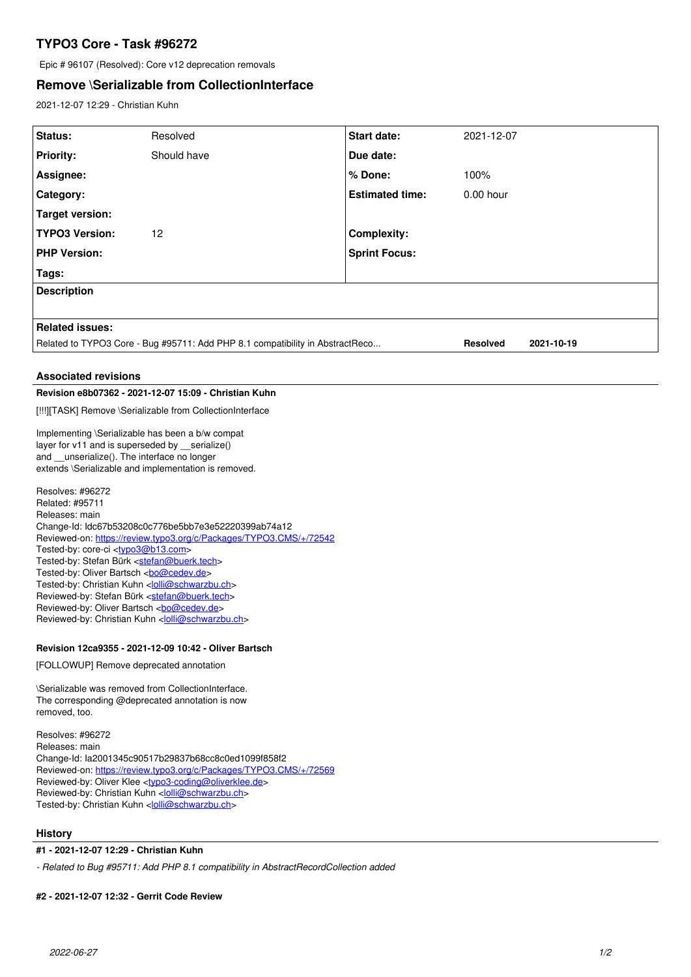# **TYPO3 Core - Task #96272**

Epic # 96107 (Resolved): Core v12 deprecation removals

## **Remove \Serializable from CollectionInterface**

2021-12-07 12:29 - Christian Kuhn

| <b>Status:</b>                                                                                                                                                                                                                                                                                                                                                                                                    | Resolved                                                                                                                                                                                                                                                                                                                                                                                | <b>Start date:</b>     | 2021-12-07      |            |
|-------------------------------------------------------------------------------------------------------------------------------------------------------------------------------------------------------------------------------------------------------------------------------------------------------------------------------------------------------------------------------------------------------------------|-----------------------------------------------------------------------------------------------------------------------------------------------------------------------------------------------------------------------------------------------------------------------------------------------------------------------------------------------------------------------------------------|------------------------|-----------------|------------|
| <b>Priority:</b>                                                                                                                                                                                                                                                                                                                                                                                                  | Should have                                                                                                                                                                                                                                                                                                                                                                             | Due date:              |                 |            |
| Assignee:                                                                                                                                                                                                                                                                                                                                                                                                         |                                                                                                                                                                                                                                                                                                                                                                                         | % Done:                | 100%            |            |
| Category:                                                                                                                                                                                                                                                                                                                                                                                                         |                                                                                                                                                                                                                                                                                                                                                                                         | <b>Estimated time:</b> | $0.00$ hour     |            |
| <b>Target version:</b>                                                                                                                                                                                                                                                                                                                                                                                            |                                                                                                                                                                                                                                                                                                                                                                                         |                        |                 |            |
| <b>TYPO3 Version:</b>                                                                                                                                                                                                                                                                                                                                                                                             | 12                                                                                                                                                                                                                                                                                                                                                                                      | <b>Complexity:</b>     |                 |            |
| <b>PHP Version:</b>                                                                                                                                                                                                                                                                                                                                                                                               |                                                                                                                                                                                                                                                                                                                                                                                         | <b>Sprint Focus:</b>   |                 |            |
| Tags:                                                                                                                                                                                                                                                                                                                                                                                                             |                                                                                                                                                                                                                                                                                                                                                                                         |                        |                 |            |
| <b>Description</b>                                                                                                                                                                                                                                                                                                                                                                                                |                                                                                                                                                                                                                                                                                                                                                                                         |                        |                 |            |
|                                                                                                                                                                                                                                                                                                                                                                                                                   |                                                                                                                                                                                                                                                                                                                                                                                         |                        |                 |            |
| <b>Related issues:</b>                                                                                                                                                                                                                                                                                                                                                                                            |                                                                                                                                                                                                                                                                                                                                                                                         |                        |                 |            |
| Related to TYPO3 Core - Bug #95711: Add PHP 8.1 compatibility in AbstractReco                                                                                                                                                                                                                                                                                                                                     |                                                                                                                                                                                                                                                                                                                                                                                         |                        | <b>Resolved</b> | 2021-10-19 |
| <b>Associated revisions</b>                                                                                                                                                                                                                                                                                                                                                                                       |                                                                                                                                                                                                                                                                                                                                                                                         |                        |                 |            |
|                                                                                                                                                                                                                                                                                                                                                                                                                   | Revision e8b07362 - 2021-12-07 15:09 - Christian Kuhn                                                                                                                                                                                                                                                                                                                                   |                        |                 |            |
|                                                                                                                                                                                                                                                                                                                                                                                                                   | [!!!][TASK] Remove \Serializable from CollectionInterface                                                                                                                                                                                                                                                                                                                               |                        |                 |            |
| layer for v11 and is superseded by __serialize()<br>and __unserialize(). The interface no longer<br>Resolves: #96272<br>Related: #95711<br>Releases: main<br>Tested-by: core-ci <typo3@b13.com><br/>Tested-by: Stefan Bürk <stefan@buerk.tech><br/>Tested-by: Oliver Bartsch <bo@cedev.de><br/>Reviewed-by: Stefan Bürk <stefan@buerk.tech></stefan@buerk.tech></bo@cedev.de></stefan@buerk.tech></typo3@b13.com> | Implementing \Serializable has been a b/w compat<br>extends \Serializable and implementation is removed.<br>Change-Id: Idc67b53208c0c776be5bb7e3e52220399ab74a12<br>Reviewed-on: https://review.typo3.org/c/Packages/TYPO3.CMS/+/72542<br>Tested-by: Christian Kuhn <lolli@schwarzbu.ch><br/>Reviewed-by: Christian Kuhn <lolli@schwarzbu.ch></lolli@schwarzbu.ch></lolli@schwarzbu.ch> |                        |                 |            |
|                                                                                                                                                                                                                                                                                                                                                                                                                   | Revision 12ca9355 - 2021-12-09 10:42 - Oliver Bartsch                                                                                                                                                                                                                                                                                                                                   |                        |                 |            |
| [FOLLOWUP] Remove deprecated annotation                                                                                                                                                                                                                                                                                                                                                                           |                                                                                                                                                                                                                                                                                                                                                                                         |                        |                 |            |
| removed, too.                                                                                                                                                                                                                                                                                                                                                                                                     | \Serializable was removed from CollectionInterface.<br>The corresponding @deprecated annotation is now                                                                                                                                                                                                                                                                                  |                        |                 |            |
| Resolves: #96272<br>Releases: main                                                                                                                                                                                                                                                                                                                                                                                | Change-Id: la2001345c90517b29837b68cc8c0ed1099f858f2<br>Reviewed-on: https://review.typo3.org/c/Packages/TYPO3.CMS/+/72569                                                                                                                                                                                                                                                              |                        |                 |            |

Reviewed-by: Oliver Klee <[typo3-coding@oliverklee.de>](mailto:typo3-coding@oliverklee.de)

Reviewed-by: Christian Kuhn [<lolli@schwarzbu.ch>](mailto:lolli@schwarzbu.ch)

Tested-by: Christian Kuhn <[lolli@schwarzbu.ch](mailto:lolli@schwarzbu.ch)>

## **History**

### **#1 - 2021-12-07 12:29 - Christian Kuhn**

*- Related to Bug #95711: Add PHP 8.1 compatibility in AbstractRecordCollection added*

#### **#2 - 2021-12-07 12:32 - Gerrit Code Review**